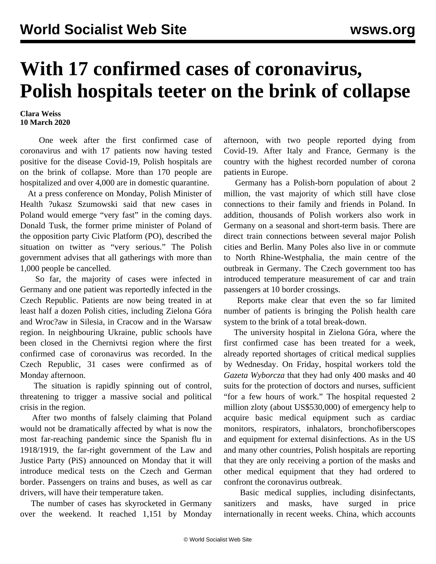## **With 17 confirmed cases of coronavirus, Polish hospitals teeter on the brink of collapse**

## **Clara Weiss 10 March 2020**

 One week after the first confirmed case of coronavirus and with 17 patients now having tested positive for the disease Covid-19, Polish hospitals are on the brink of collapse. More than 170 people are hospitalized and over 4,000 are in domestic quarantine.

 At a press conference on Monday, Polish Minister of Health ?ukasz Szumowski said that new cases in Poland would emerge "very fast" in the coming days. Donald Tusk, the former prime minister of Poland of the opposition party Civic Platform (PO), described the situation on twitter as "very serious." The Polish government advises that all gatherings with more than 1,000 people be cancelled.

 So far, the majority of cases were infected in Germany and one patient was reportedly infected in the Czech Republic. Patients are now being treated in at least half a dozen Polish cities, including Zielona Góra and Wroc?aw in Silesia, in Cracow and in the Warsaw region. In neighbouring Ukraine, public schools have been closed in the Chernivtsi region where the first confirmed case of coronavirus was recorded. In the Czech Republic, 31 cases were confirmed as of Monday afternoon.

 The situation is rapidly spinning out of control, threatening to trigger a massive social and political crisis in the region.

 After two months of falsely claiming that Poland would not be dramatically affected by what is now the most far-reaching pandemic since the Spanish flu in 1918/1919, the far-right government of the Law and Justice Party (PiS) announced on Monday that it will introduce medical tests on the Czech and German border. Passengers on trains and buses, as well as car drivers, will have their temperature taken.

 The number of cases has skyrocketed in Germany over the weekend. It reached 1,151 by Monday afternoon, with two people reported dying from Covid-19. After Italy and France, Germany is the country with the highest recorded number of corona patients in Europe.

 Germany has a Polish-born population of about 2 million, the vast majority of which still have close connections to their family and friends in Poland. In addition, thousands of Polish workers also work in Germany on a seasonal and short-term basis. There are direct train connections between several major Polish cities and Berlin. Many Poles also live in or commute to North Rhine-Westphalia, the main centre of the outbreak in Germany. The Czech government too has introduced temperature measurement of car and train passengers at 10 border crossings.

 Reports make clear that even the so far limited number of patients is bringing the Polish health care system to the brink of a total break-down.

 The university hospital in Zielona Góra, where the first confirmed case has been treated for a week, already reported shortages of critical medical supplies by Wednesday. On Friday, hospital workers told the *Gazeta Wyborcza* that they had only 400 masks and 40 suits for the protection of doctors and nurses, sufficient "for a few hours of work." The hospital requested 2 million zloty (about US\$530,000) of emergency help to acquire basic medical equipment such as cardiac monitors, respirators, inhalators, bronchofiberscopes and equipment for external disinfections. As in the US and many other countries, Polish hospitals are reporting that they are only receiving a portion of the masks and other medical equipment that they had ordered to confront the coronavirus outbreak.

 Basic medical supplies, including disinfectants, sanitizers and masks, have surged in price internationally in recent weeks. China, which accounts